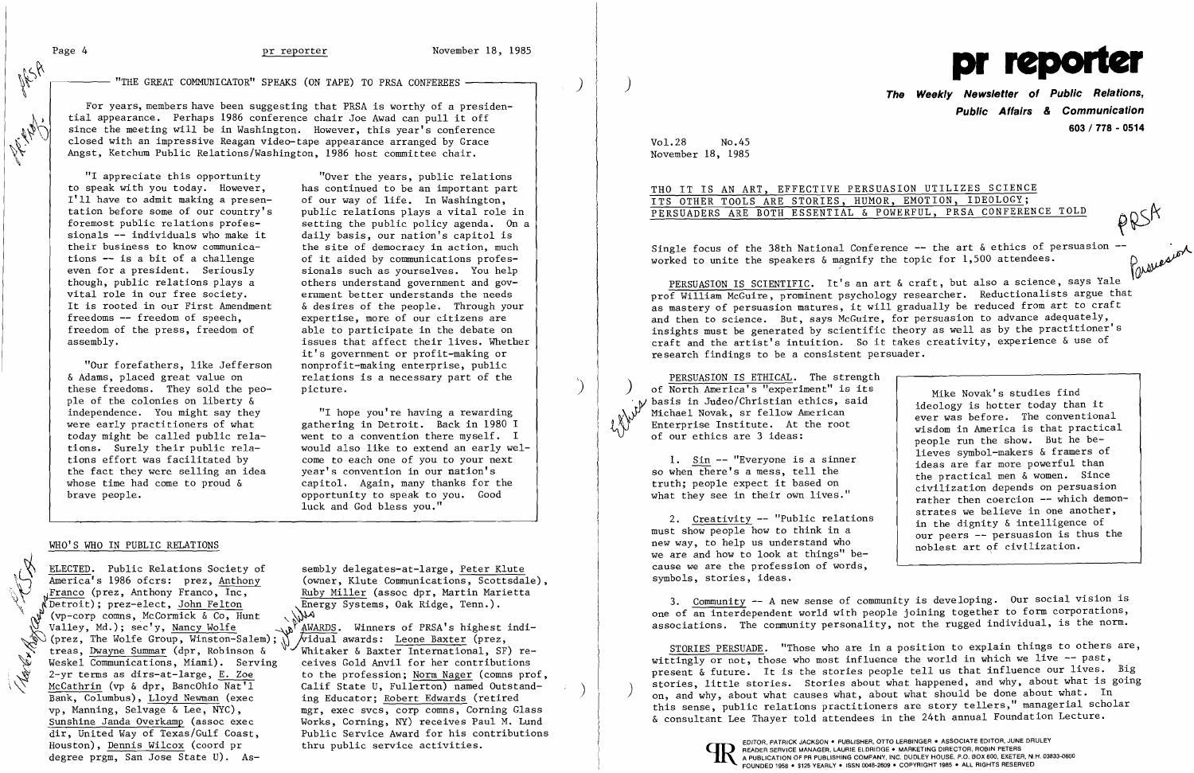hi  $\lambda$  $\acute{\mathscr{E}}$ . الي<br>الح

\~~, "THE GREAT COMMUNICATOR" SPEAKS (ON TAPE) TO PRSA CONFEREES I ) \\

For years, members have been suggesting that PRSA is worthy of a presidential appearance. Perhaps 1986 conference chair Joe Awad can pull it off since the meeting will be in Washington. However, this year's conference closed with an impressive Reagan video-tape appearance arranged by Grace Angst, Ketchum Public Relations/Washington, 1986 host committee chair.

I'll have to admit making a presen-<br>tation before some of our country's public relations plays a vital role

these freedoms. They sold the people of the colonies on liberty & the fact they were selling an idea year's convention in our nation's<br>whose time had come to proud & capitol. Again, many thanks for t brave people. opportunity to speak to you. Good

"I appreciate this opportunity "Over the years, public relations<br>to speak with you today. However, has continued to be an important pare to speak with you today. However, has continued to be an important part<br>I'll have to admit making a presen- of our way of life. In Washington, tation before some of our country's public relations plays a vital role in foremost public relations profes-<br>setting the public policy agenda. On a foremost public relations profes-<br>setting the public policy agenda. On a<br>sionals -- individuals who make it<br>daily basis, our nation's capitol is sionals -- individuals who make it daily basis, our nation's capitol is<br>their business to know communica-<br>the site of democracy in action, much their business to know communica-<br>the site of democracy in action, much<br>tions -- is a bit of a challenge of it aided by communications profestions -- is a bit of a challenge of it aided by communications profes-<br>even for a president. Seriously sionals such as vourselves. You help even for a president. Seriously sionals such as yourselves. You help<br>though, public relations plays a so others understand government and govthough, public relations plays a others understand government and gov-<br>vital role in our free society. ernment better understands the needs vital role in our free society.<br>It is rooted in our First Amendment 6 desires of the people. Through you It is rooted in our First Amendment & desires of the people. Through your freedoms -- freedom of speech. expertise, more of our citizens are expertise, more of our citizens are freedom of the press, freedom of able to participate in the debate on assembly.<br>issues that affect their lives. Whether issues that affect their lives. Whether it's government or profit-making or "Our forefathers, like Jefferson monprofit-making enterprise, public<br>
& Adams, placed great value on elations is a necessary part of the relations is a necessary part of the<br>picture.

treas, Dwayne Summar (dpr, Robinson & Wo Whitaker & Baxter International, SF) re-<br>Weskel Communications, Miami). Serving ceives Gold Anvil for her contributions to the profession; Norm Nager (comns prof, \~ McCathrin (vp & dpr, BancOhio Nat'l Calif State U, Fullerton) named Outstand ) Bank, Columbus), Lloyd Newman (exec ing Educator; Robert Edwards (retired vp, Manning, Selvage & Lee, NYC), mgr, exec svcs, corp comns, Corning Glass Sunshine Janda Overkamp (assoc exec Works, Corning, NY) receives Paul M. Lund dir, United Way of Texas/Gulf Coast, Public Service Award for his contributions

ELECTED. Public Relations Society of sembly delegates-at-large, Peter Klute<br>America's 1986 ofcrs: prez. Anthony (owner. Klute Communications. Scottsda. <sub>\</sub>Franco (prez, Anthony Franco, Inc, Ruby Miller (assoc dpr, Martin Mar<br>{Detroit); prez-elect, John Felton (Energy Systems, Oak Ridge, Tenn.).  $\sqrt{\text{Detroit}}$ ; prez-elect, John Felton  $\overline{\text{End}}$  (vp-corp comns, McCormick & Co, Hunt.). (vp-corp comns, McCormick  $\delta$  Co, Hunt Valley, Md.); sec'y, Nancy Wolfe Valley, Md.); sec' y, Nancl Wolfe 1WAJillS • Winners of *PRSA'* s highest indi  $\gg$  (prez, The Wolfe Group, Winston-Salem);  $\sqrt{\ }$   $\sqrt{\ }$  idual awards: Leone Baxter (prez, Weskel Communications, Miami). Serving  $2-\text{yr}$  terms as dirs-at-large, E. Zoe Houston), Dennis Wilcox (coord pr thru public service activities. degree prgm, San Jose State U). As-

(owner, Klute Communications, Scottsdale),<br>Ruby Miller (assoc dpr. Martin Marietta

independence. You might say they "I hope you're having a rewarding were early practitioners of what gathering in Detroit. Back in 1980 I<br>today might be called public rela- went to a convention there myself. I today might be called public rela-<br>tions. Surely their public rela-<br>would also like to extend an early well tions. Surely their public rela-<br>tions effort was facilitated by a come to each one of you to your next tions effort was facilitated by come to each one of you to your next<br>the fact they were selling an idea year's convention in our nation's capitol. Again, many thanks for the luck and God bless you."

PERSUASION IS SCIENTIFIC. It's an art & craft, but also a science, says Yale worked to unite the speakers  $\&$  magnify the topic for 1,500 attendees.<br>PERSUASION IS SCIENTIFIC. It's an art  $\&$  craft, but also a science, says Yale prof William McGuire, prominent psychology researcher. Reductionalis as mastery of persuasion matures, it will gradually be reduced from art to craft and then to science. But, says McGuire, for persuasion to advance adequately,  $\overline{a}$ insights must be generated by scientific theory as well as by the practitioner's craft and the artist's intuition. So it takes creativity, experience & use of research findings to be a consistent persuader.

### WHO'S WHO IN PUBLIC RELATIONS



**Public Affairs & Communication 603 / 178 - 0514** 

Vol.28 No.45 November 18, 1985

## THO IT IS AN ART, EFFECTIVE PERSUASION UTILIZES SCIENCE ITS OTHER TOOLS ARE STORIES, HUMOR, EMOTION, IDEOLOGY; PERSUADERS ARE BOTH ESSENTIAL & POWERFUL, PRSA CONFERENCE TOLD

Single focus of the 38th National Conference -- the art & ethics of persuasion worked to unite the speakers  $\&$  magnify the topic for 1,500 attendees.

~~k

PERSUASION IS ETHICAL. The strength ) of North America's "experiment" is its basis in Judeo/Christian ethics, said Michael Novak, sr fellow American Enterprise Institute. At the root of our ethics are 3 ideas:

1. Sin -- "Everyone is a sinner so when there's a mess, tell the truth; people expect it based on what they see in their own lives."

2. Creativity -- "Public relations must show people how to think in a new way, to help us understand who we are and how to look at things" because we are the profession of words, symbols, stories, ideas.

Mike Novak's studies find ideology is hotter today than it ever was before. The conventional wisdom in America is that practical people run the show. But he believes symbol-makers & framers of ideas are far more powerful than the practical men & women. Since civilization depends on persuasion rather then coercion -- which demonstrates we believe in one another, in the dignity & intelligence of our peers -- persuasion is thus the noblest art of civilization.

3. Community -- A new sense of community is developing. Our social vision is one of an interdependent world with people joining together to form corporations, associations. The community personality, not the rugged individual, is the norm.

STORIES PERSUADE. "Those who are in a position to explain things to others are, wittingly or not, those who most influence the world in which we live  $-$  past, present & future. It is the stories people tell us that influence our lives. Big stories, little stories. Stories about what happened, and why, about what is going<br>on, and why, about what causes what, about what should be done about what. In this sense, public relations practitioners are story tellers," managerial scholar & consultant Lee Thayer told attendees in the 24th annual Foundation Lecture.